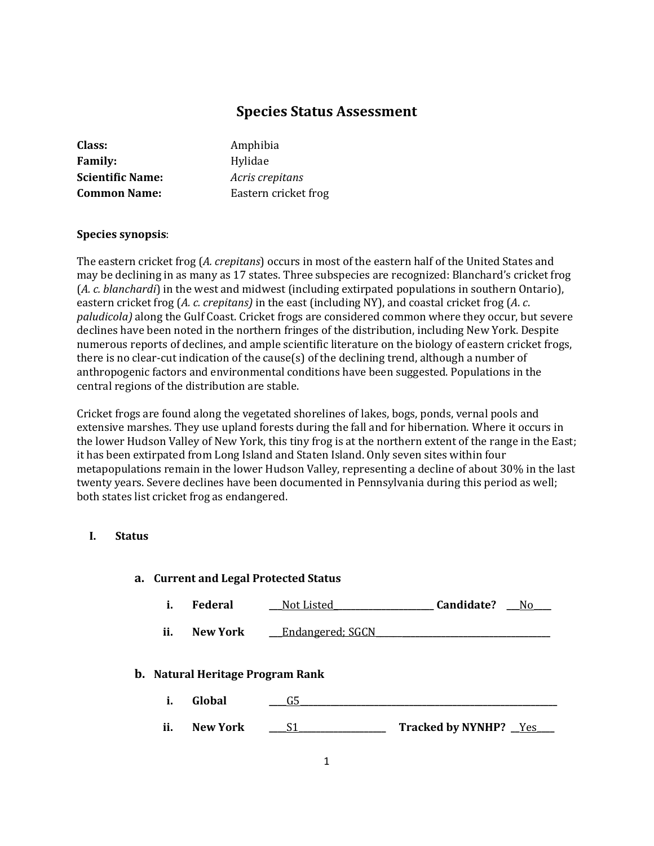# **Species Status Assessment**

| Amphibia             |
|----------------------|
| Hylidae              |
| Acris crepitans      |
| Eastern cricket frog |
|                      |

# **Species synopsis**:

The eastern cricket frog (*A. crepitans*) occurs in most of the eastern half of the United States and may be declining in as many as 17 states. Three subspecies are recognized: Blanchard's cricket frog (*A. c. blanchardi*) in the west and midwest (including extirpated populations in southern Ontario), eastern cricket frog (*A. c. crepitans)* in the east (including NY), and coastal cricket frog (*A*. *c*. *paludicola)* along the Gulf Coast. Cricket frogs are considered common where they occur, but severe declines have been noted in the northern fringes of the distribution, including New York. Despite numerous reports of declines, and ample scientific literature on the biology of eastern cricket frogs, there is no clear-cut indication of the cause(s) of the declining trend, although a number of anthropogenic factors and environmental conditions have been suggested. Populations in the central regions of the distribution are stable.

Cricket frogs are found along the vegetated shorelines of lakes, bogs, ponds, vernal pools and extensive marshes. They use upland forests during the fall and for hibernation. Where it occurs in the lower Hudson Valley of New York, this tiny frog is at the northern extent of the range in the East; it has been extirpated from Long Island and Staten Island. Only seven sites within four metapopulations remain in the lower Hudson Valley, representing a decline of about 30% in the last twenty years. Severe declines have been documented in Pennsylvania during this period as well; both states list cricket frog as endangered.

# **I. Status**

|                                         | a. Current and Legal Protected Status |                 |                          |                                 |  |
|-----------------------------------------|---------------------------------------|-----------------|--------------------------|---------------------------------|--|
|                                         | i.                                    | <b>Federal</b>  | Not Listed               | Candidate?<br>No r              |  |
|                                         | ii.                                   | New York        | <b>Endangered</b> ; SGCN |                                 |  |
| <b>b.</b> Natural Heritage Program Rank |                                       |                 |                          |                                 |  |
|                                         | i.                                    | Global          | G5                       |                                 |  |
|                                         | ii.                                   | <b>New York</b> |                          | <b>Tracked by NYNHP?</b><br>Yes |  |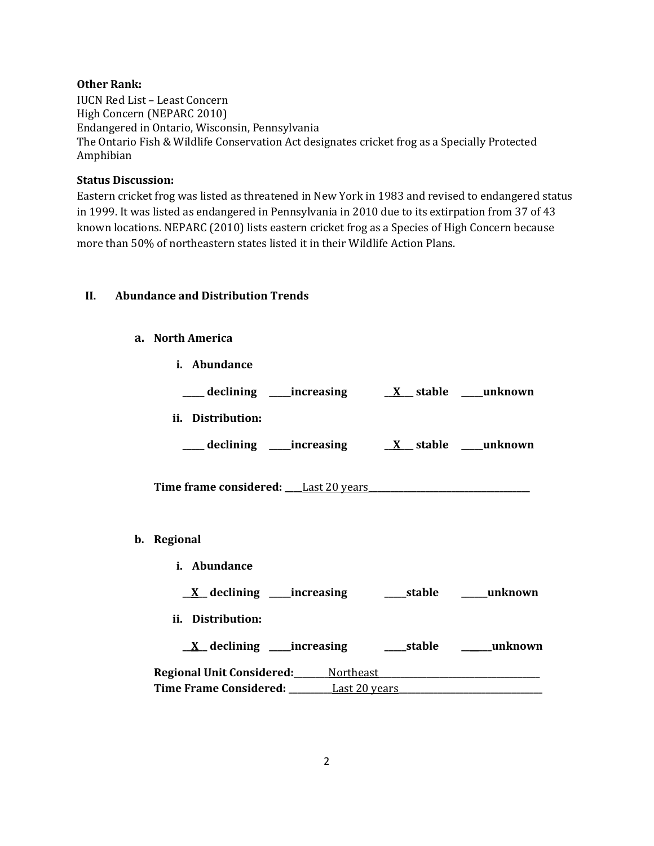# **Other Rank:**

IUCN Red List – Least Concern High Concern (NEPARC 2010) Endangered in Ontario, Wisconsin, Pennsylvania The Ontario Fish & Wildlife Conservation Act designates cricket frog as a Specially Protected Amphibian

# **Status Discussion:**

Eastern cricket frog was listed as threatened in New York in 1983 and revised to endangered status in 1999. It was listed as endangered in Pennsylvania in 2010 due to its extirpation from 37 of 43 known locations. NEPARC (2010) lists eastern cricket frog as a Species of High Concern because more than 50% of northeastern states listed it in their Wildlife Action Plans.

# **II. Abundance and Distribution Trends**

#### **a. North America**

| i. Abundance        |  |                                                                                                                                                                                                                                                           |
|---------------------|--|-----------------------------------------------------------------------------------------------------------------------------------------------------------------------------------------------------------------------------------------------------------|
|                     |  |                                                                                                                                                                                                                                                           |
| ii. Distribution:   |  |                                                                                                                                                                                                                                                           |
|                     |  |                                                                                                                                                                                                                                                           |
|                     |  |                                                                                                                                                                                                                                                           |
|                     |  |                                                                                                                                                                                                                                                           |
| <i>i.</i> Abundance |  |                                                                                                                                                                                                                                                           |
|                     |  |                                                                                                                                                                                                                                                           |
| ii. Distribution:   |  |                                                                                                                                                                                                                                                           |
|                     |  |                                                                                                                                                                                                                                                           |
|                     |  |                                                                                                                                                                                                                                                           |
|                     |  | Time frame considered: Last 20 years<br><u>X</u> declining ____increasing _______stable ______unknown<br><u>X</u> declining ____increasing ______stable ______unknown<br>Time Frame Considered: _________Last 20 years___________________________________ |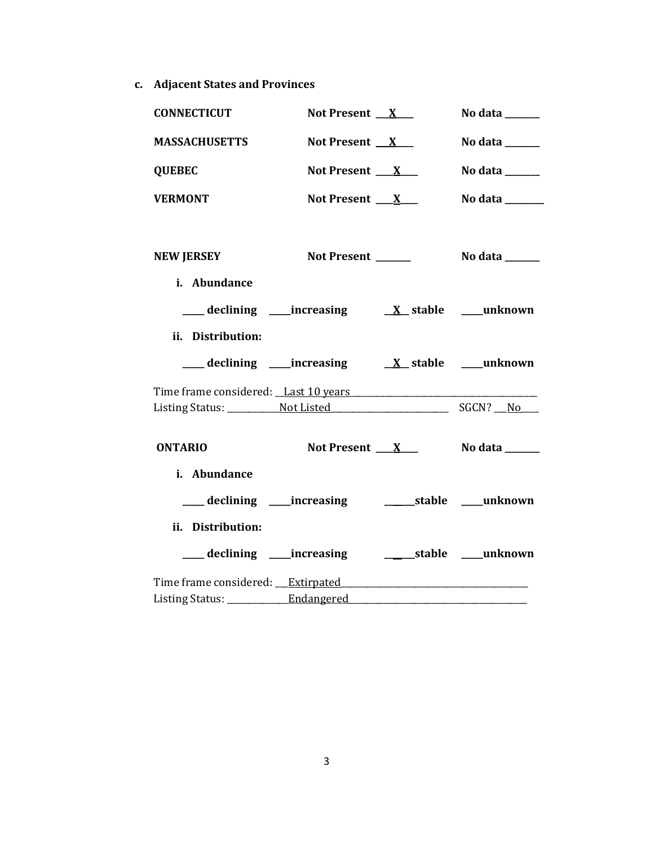**c. Adjacent States and Provinces**

| <b>CONNECTICUT</b>                      | Not Present $X$                                              | No data $\_\_\_\_\_\_\_\_\_\_\_\$                                           |
|-----------------------------------------|--------------------------------------------------------------|-----------------------------------------------------------------------------|
| <b>MASSACHUSETTS</b>                    | Not Present $X_{-}$                                          | No data $\_\_\_\_\_\_\_\_\_\_\_\$                                           |
| <b>QUEBEC</b>                           | Not Present $X_{-}$                                          | No data $\frac{1}{\sqrt{1-\frac{1}{2}}\cdot\frac{1}{\sqrt{1-\frac{1}{2}}}}$ |
| <b>VERMONT</b>                          | Not Present $X_{-}$                                          | No data ______                                                              |
|                                         |                                                              |                                                                             |
| <b>NEW JERSEY</b>                       | Not Present ______                                           | No data $\_\_\_\_\_\_\_\_\_\_\_\_\$                                         |
| i. Abundance                            |                                                              |                                                                             |
|                                         |                                                              |                                                                             |
| ii. Distribution:                       |                                                              |                                                                             |
|                                         |                                                              |                                                                             |
|                                         |                                                              |                                                                             |
|                                         |                                                              |                                                                             |
| <b>ONTARIO</b>                          | Not Present $X_{-}$                                          | No data ______                                                              |
| i. Abundance                            |                                                              |                                                                             |
|                                         | ___ declining ____increasing _____________stable ____unknown |                                                                             |
| ii. Distribution:                       |                                                              |                                                                             |
|                                         | ____ declining ____ increasing                               | ______stable ____unknown                                                    |
|                                         |                                                              |                                                                             |
| Listing Status: _____________Endangered |                                                              |                                                                             |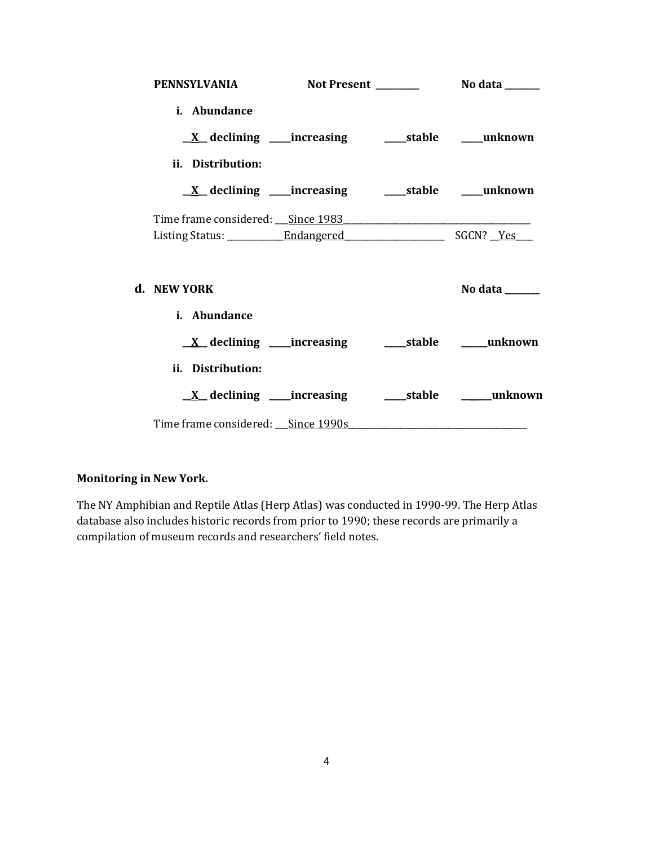| <b>PENNSYLVANIA</b>                                                        |  |                                                                             |
|----------------------------------------------------------------------------|--|-----------------------------------------------------------------------------|
| i. Abundance                                                               |  |                                                                             |
|                                                                            |  |                                                                             |
| ii. Distribution:                                                          |  |                                                                             |
| <u>X</u> declining ____increasing ______stable _____unknown                |  |                                                                             |
|                                                                            |  |                                                                             |
|                                                                            |  |                                                                             |
| d. NEW YORK                                                                |  | No data $\frac{1}{\sqrt{1-\frac{1}{2}}\cdot\frac{1}{\sqrt{1-\frac{1}{2}}}}$ |
| i. Abundance                                                               |  |                                                                             |
| $\underline{X}$ declining ____increasing __________stable _______unknown   |  |                                                                             |
| ii. Distribution:                                                          |  |                                                                             |
|                                                                            |  | <u>X</u> declining ____increasing ____________stable __________unknown      |
| Time frame considered: Since 1990s Manual Communication of the Since 1990s |  |                                                                             |

# **Monitoring in New York.**

The NY Amphibian and Reptile Atlas (Herp Atlas) was conducted in 1990-99. The Herp Atlas database also includes historic records from prior to 1990; these records are primarily a compilation of museum records and researchers' field notes.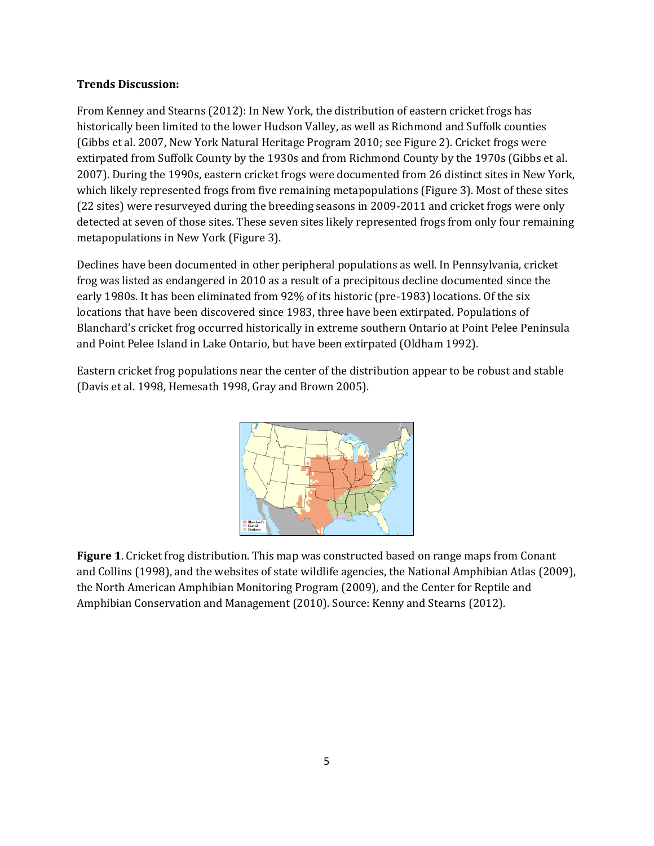## **Trends Discussion:**

From Kenney and Stearns (2012): In New York, the distribution of eastern cricket frogs has historically been limited to the lower Hudson Valley, as well as Richmond and Suffolk counties (Gibbs et al. 2007, New York Natural Heritage Program 2010; see Figure 2). Cricket frogs were extirpated from Suffolk County by the 1930s and from Richmond County by the 1970s (Gibbs et al. 2007). During the 1990s, eastern cricket frogs were documented from 26 distinct sites in New York, which likely represented frogs from five remaining metapopulations (Figure 3). Most of these sites (22 sites) were resurveyed during the breeding seasons in 2009-2011 and cricket frogs were only detected at seven of those sites. These seven sites likely represented frogs from only four remaining metapopulations in New York (Figure 3).

Declines have been documented in other peripheral populations as well. In Pennsylvania, cricket frog was listed as endangered in 2010 as a result of a precipitous decline documented since the early 1980s. It has been eliminated from 92% of its historic (pre-1983) locations. Of the six locations that have been discovered since 1983, three have been extirpated. Populations of Blanchard's cricket frog occurred historically in extreme southern Ontario at Point Pelee Peninsula and Point Pelee Island in Lake Ontario, but have been extirpated (Oldham 1992).

Eastern cricket frog populations near the center of the distribution appear to be robust and stable (Davis et al. 1998, Hemesath 1998, Gray and Brown 2005).



**Figure 1**. Cricket frog distribution. This map was constructed based on range maps from Conant and Collins (1998), and the websites of state wildlife agencies, the National Amphibian Atlas (2009), the North American Amphibian Monitoring Program (2009), and the Center for Reptile and Amphibian Conservation and Management (2010). Source: Kenny and Stearns (2012).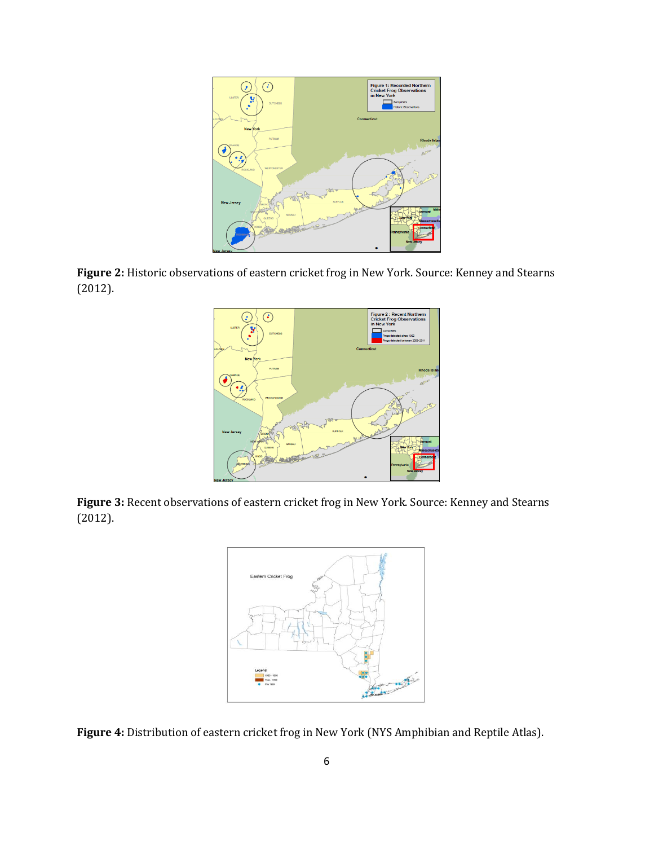





**Figure 3:** Recent observations of eastern cricket frog in New York. Source: Kenney and Stearns (2012).



**Figure 4:** Distribution of eastern cricket frog in New York (NYS Amphibian and Reptile Atlas).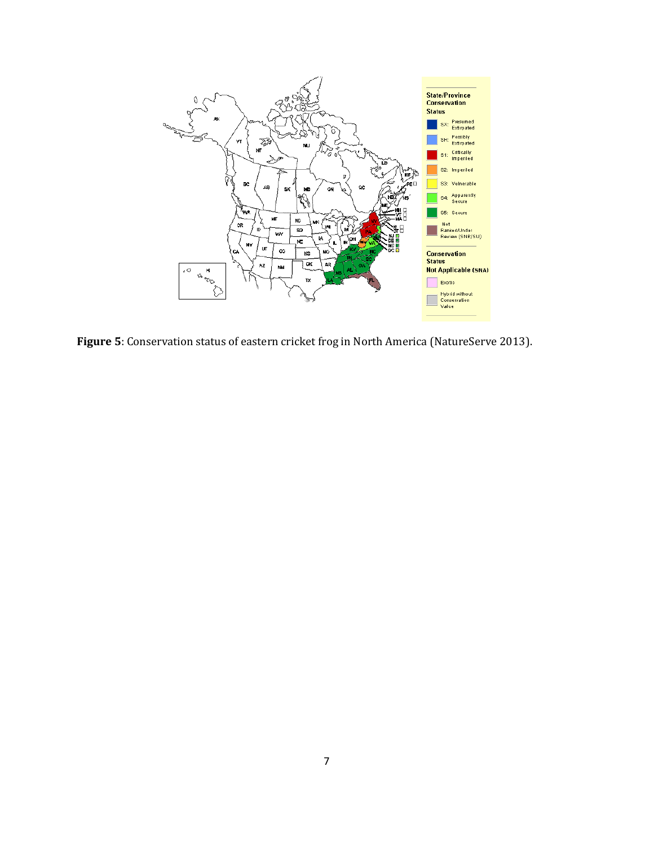

**Figure 5**: Conservation status of eastern cricket frog in North America (NatureServe 2013).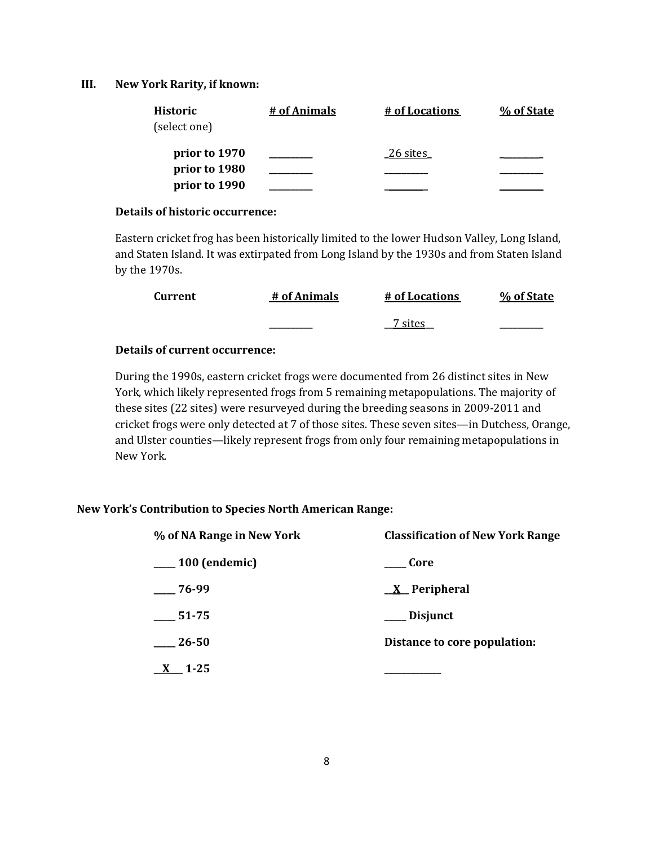#### **III. New York Rarity, if known:**

| Historic<br>(select one) | # of Animals | # of Locations | % of State |
|--------------------------|--------------|----------------|------------|
| prior to 1970            |              | 26 sites       |            |
| prior to 1980            |              |                |            |
| prior to 1990            |              |                |            |

#### **Details of historic occurrence:**

Eastern cricket frog has been historically limited to the lower Hudson Valley, Long Island, and Staten Island. It was extirpated from Long Island by the 1930s and from Staten Island by the 1970s.

| <b>Current</b> | # of Animals | # of Locations | % of State |
|----------------|--------------|----------------|------------|
|                |              | 7 sites        |            |

# **Details of current occurrence:**

During the 1990s, eastern cricket frogs were documented from 26 distinct sites in New York, which likely represented frogs from 5 remaining metapopulations. The majority of these sites (22 sites) were resurveyed during the breeding seasons in 2009-2011 and cricket frogs were only detected at 7 of those sites. These seven sites—in Dutchess, Orange, and Ulster counties—likely represent frogs from only four remaining metapopulations in New York.

#### **New York's Contribution to Species North American Range:**

| % of NA Range in New York | <b>Classification of New York Range</b> |  |
|---------------------------|-----------------------------------------|--|
| $\mu$ 100 (endemic)       | Core                                    |  |
| $-76-99$                  | <u>X</u> Peripheral                     |  |
| 51-75                     | Disjunct                                |  |
| 26-50                     | Distance to core population:            |  |
| $1 - 25$                  |                                         |  |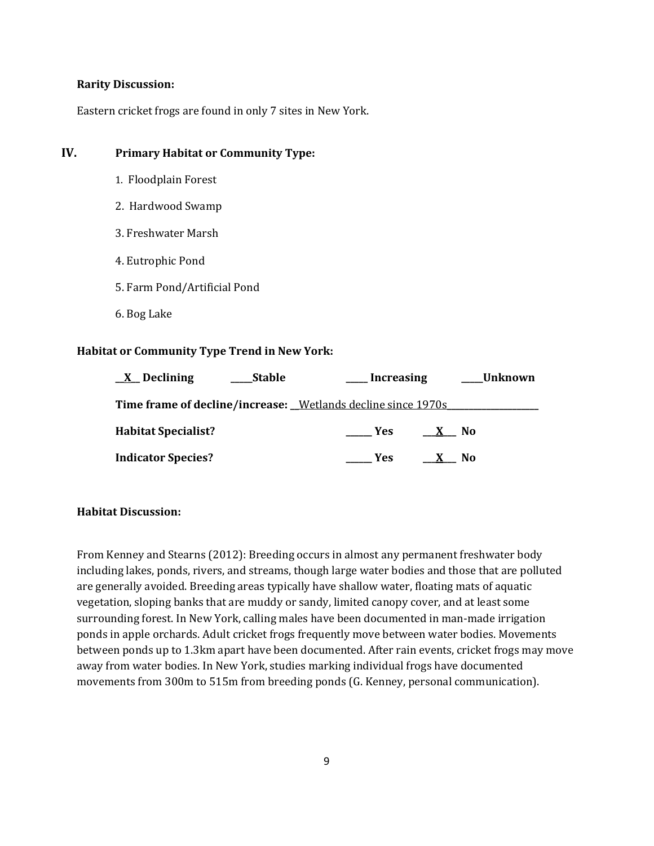#### **Rarity Discussion:**

Eastern cricket frogs are found in only 7 sites in New York.

# **IV. Primary Habitat or Community Type:**

- 1. Floodplain Forest
- 2. Hardwood Swamp
- 3. Freshwater Marsh
- 4. Eutrophic Pond
- 5. Farm Pond/Artificial Pond
- 6. Bog Lake

#### **Habitat or Community Type Trend in New York:**

| $X$ Declining                                                 | <b>Stable</b> | Increasing        |      | <b>Unknown</b> |
|---------------------------------------------------------------|---------------|-------------------|------|----------------|
| Time frame of decline/increase: _Wetlands decline since 1970s |               |                   |      |                |
| <b>Habitat Specialist?</b>                                    |               | <b>Example SE</b> | X No |                |
| <b>Indicator Species?</b>                                     |               | Yes               |      | No.            |

#### **Habitat Discussion:**

From Kenney and Stearns (2012): Breeding occurs in almost any permanent freshwater body including lakes, ponds, rivers, and streams, though large water bodies and those that are polluted are generally avoided. Breeding areas typically have shallow water, floating mats of aquatic vegetation, sloping banks that are muddy or sandy, limited canopy cover, and at least some surrounding forest. In New York, calling males have been documented in man-made irrigation ponds in apple orchards. Adult cricket frogs frequently move between water bodies. Movements between ponds up to 1.3km apart have been documented. After rain events, cricket frogs may move away from water bodies. In New York, studies marking individual frogs have documented movements from 300m to 515m from breeding ponds (G. Kenney, personal communication).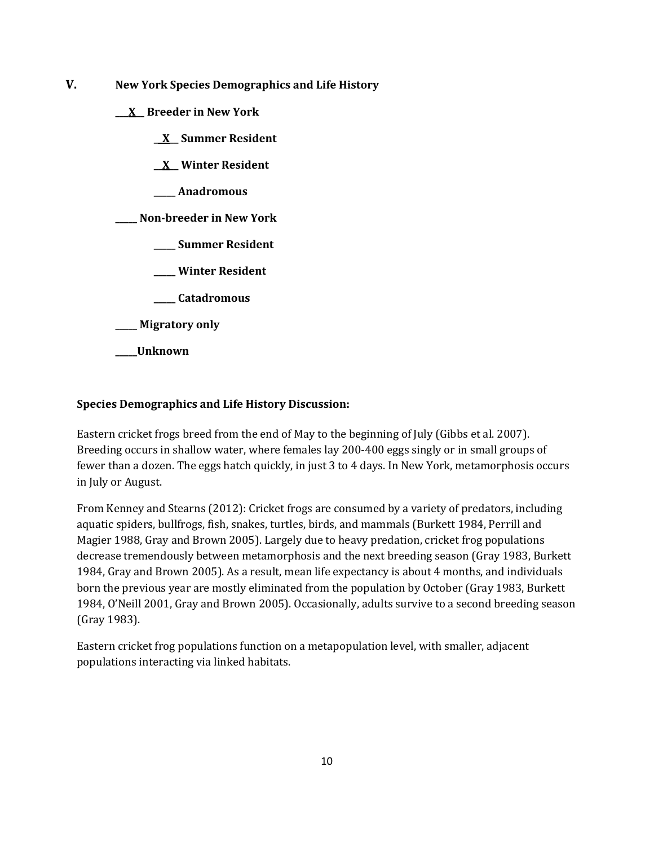- **V. New York Species Demographics and Life History**
	- **\_\_\_X\_\_ Breeder in New York**
		- **\_\_X\_\_ Summer Resident**
		- **\_\_X\_\_ Winter Resident**
		- **\_\_\_\_\_ Anadromous**

**\_\_\_\_\_ Non-breeder in New York**

- **\_\_\_\_\_ Summer Resident**
- **\_\_\_\_\_ Winter Resident**
- **\_\_\_\_\_ Catadromous**
- **\_\_\_\_\_ Migratory only**
- **\_\_\_\_\_Unknown**

# **Species Demographics and Life History Discussion:**

Eastern cricket frogs breed from the end of May to the beginning of July (Gibbs et al. 2007). Breeding occurs in shallow water, where females lay 200-400 eggs singly or in small groups of fewer than a dozen. The eggs hatch quickly, in just 3 to 4 days. In New York, metamorphosis occurs in July or August.

From Kenney and Stearns (2012): Cricket frogs are consumed by a variety of predators, including aquatic spiders, bullfrogs, fish, snakes, turtles, birds, and mammals (Burkett 1984, Perrill and Magier 1988, Gray and Brown 2005). Largely due to heavy predation, cricket frog populations decrease tremendously between metamorphosis and the next breeding season (Gray 1983, Burkett 1984, Gray and Brown 2005). As a result, mean life expectancy is about 4 months, and individuals born the previous year are mostly eliminated from the population by October (Gray 1983, Burkett 1984, O'Neill 2001, Gray and Brown 2005). Occasionally, adults survive to a second breeding season (Gray 1983).

Eastern cricket frog populations function on a metapopulation level, with smaller, adjacent populations interacting via linked habitats.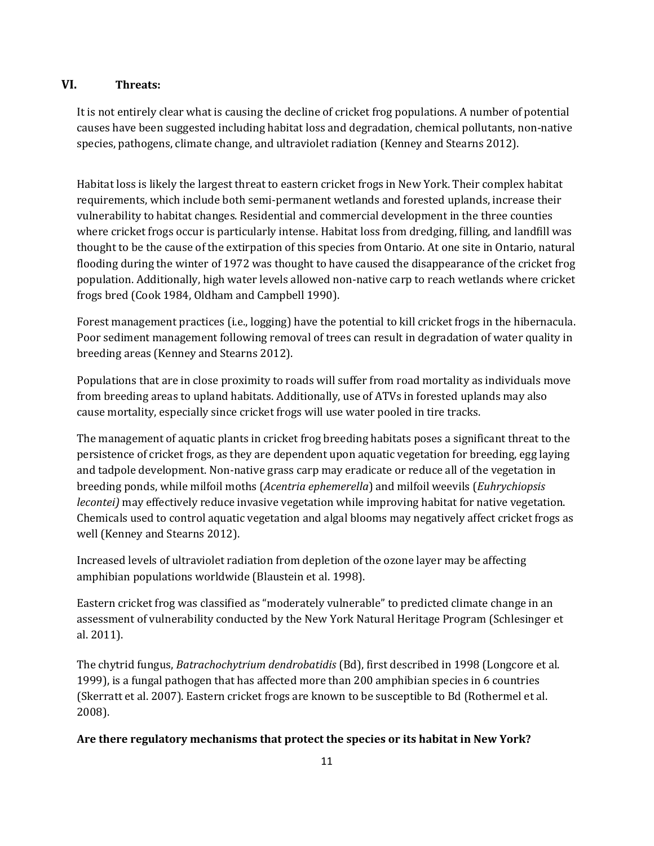# **VI. Threats:**

It is not entirely clear what is causing the decline of cricket frog populations. A number of potential causes have been suggested including habitat loss and degradation, chemical pollutants, non-native species, pathogens, climate change, and ultraviolet radiation (Kenney and Stearns 2012).

Habitat loss is likely the largest threat to eastern cricket frogs in New York. Their complex habitat requirements, which include both semi-permanent wetlands and forested uplands, increase their vulnerability to habitat changes. Residential and commercial development in the three counties where cricket frogs occur is particularly intense. Habitat loss from dredging, filling, and landfill was thought to be the cause of the extirpation of this species from Ontario. At one site in Ontario, natural flooding during the winter of 1972 was thought to have caused the disappearance of the cricket frog population. Additionally, high water levels allowed non-native carp to reach wetlands where cricket frogs bred (Cook 1984, Oldham and Campbell 1990).

Forest management practices (i.e., logging) have the potential to kill cricket frogs in the hibernacula. Poor sediment management following removal of trees can result in degradation of water quality in breeding areas (Kenney and Stearns 2012).

Populations that are in close proximity to roads will suffer from road mortality as individuals move from breeding areas to upland habitats. Additionally, use of ATVs in forested uplands may also cause mortality, especially since cricket frogs will use water pooled in tire tracks.

The management of aquatic plants in cricket frog breeding habitats poses a significant threat to the persistence of cricket frogs, as they are dependent upon aquatic vegetation for breeding, egg laying and tadpole development. Non-native grass carp may eradicate or reduce all of the vegetation in breeding ponds, while milfoil moths (*Acentria ephemerella*) and milfoil weevils (*Euhrychiopsis lecontei)* may effectively reduce invasive vegetation while improving habitat for native vegetation. Chemicals used to control aquatic vegetation and algal blooms may negatively affect cricket frogs as well (Kenney and Stearns 2012).

Increased levels of ultraviolet radiation from depletion of the ozone layer may be affecting amphibian populations worldwide (Blaustein et al. 1998).

Eastern cricket frog was classified as "moderately vulnerable" to predicted climate change in an assessment of vulnerability conducted by the New York Natural Heritage Program (Schlesinger et al. 2011).

The chytrid fungus, *Batrachochytrium dendrobatidis* (Bd), first described in 1998 (Longcore et al. 1999), is a fungal pathogen that has affected more than 200 amphibian species in 6 countries (Skerratt et al. 2007). Eastern cricket frogs are known to be susceptible to Bd (Rothermel et al. 2008).

# **Are there regulatory mechanisms that protect the species or its habitat in New York?**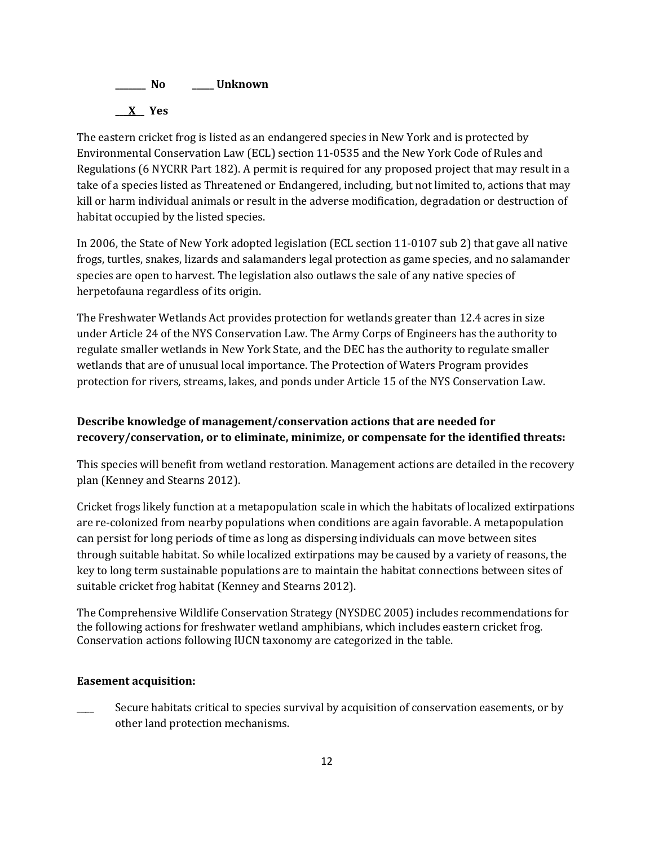

The eastern cricket frog is listed as an endangered species in New York and is protected by Environmental Conservation Law (ECL) section 11-0535 and the New York Code of Rules and Regulations (6 NYCRR Part 182). A permit is required for any proposed project that may result in a take of a species listed as Threatened or Endangered, including, but not limited to, actions that may kill or harm individual animals or result in the adverse modification, degradation or destruction of habitat occupied by the listed species.

In 2006, the State of New York adopted legislation (ECL section 11-0107 sub 2) that gave all native frogs, turtles, snakes, lizards and salamanders legal protection as game species, and no salamander species are open to harvest. The legislation also outlaws the sale of any native species of herpetofauna regardless of its origin.

The Freshwater Wetlands Act provides protection for wetlands greater than 12.4 acres in size under Article 24 of the NYS Conservation Law. The Army Corps of Engineers has the authority to regulate smaller wetlands in New York State, and the DEC has the authority to regulate smaller wetlands that are of unusual local importance. The Protection of Waters Program provides protection for rivers, streams, lakes, and ponds under Article 15 of the NYS Conservation Law.

# **Describe knowledge of management/conservation actions that are needed for recovery/conservation, or to eliminate, minimize, or compensate for the identified threats:**

This species will benefit from wetland restoration. Management actions are detailed in the recovery plan (Kenney and Stearns 2012).

Cricket frogs likely function at a metapopulation scale in which the habitats of localized extirpations are re-colonized from nearby populations when conditions are again favorable. A metapopulation can persist for long periods of time as long as dispersing individuals can move between sites through suitable habitat. So while localized extirpations may be caused by a variety of reasons, the key to long term sustainable populations are to maintain the habitat connections between sites of suitable cricket frog habitat (Kenney and Stearns 2012).

The Comprehensive Wildlife Conservation Strategy (NYSDEC 2005) includes recommendations for the following actions for freshwater wetland amphibians, which includes eastern cricket frog. Conservation actions following IUCN taxonomy are categorized in the table.

# **Easement acquisition:**

Secure habitats critical to species survival by acquisition of conservation easements, or by other land protection mechanisms.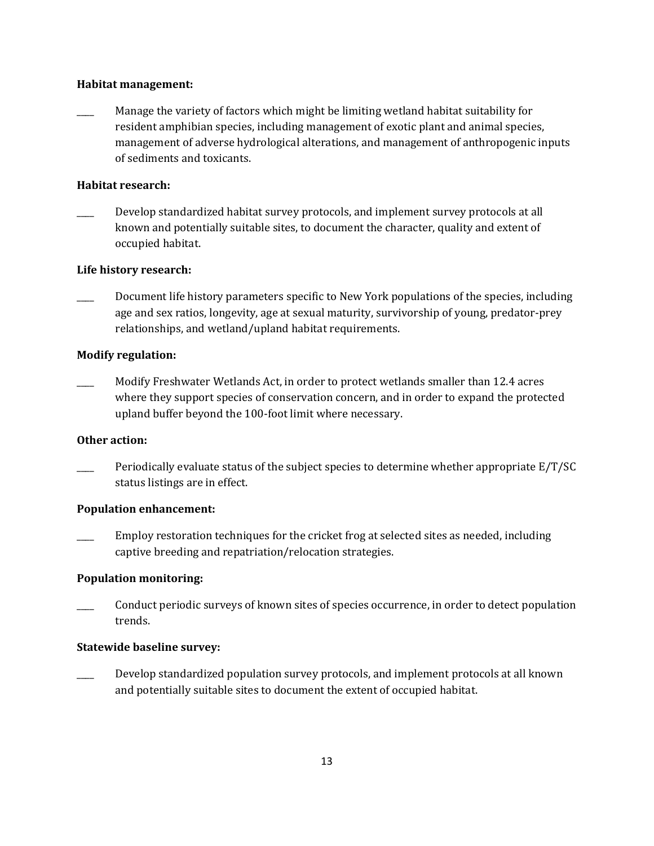#### **Habitat management:**

Manage the variety of factors which might be limiting wetland habitat suitability for resident amphibian species, including management of exotic plant and animal species, management of adverse hydrological alterations, and management of anthropogenic inputs of sediments and toxicants.

# **Habitat research:**

Develop standardized habitat survey protocols, and implement survey protocols at all known and potentially suitable sites, to document the character, quality and extent of occupied habitat.

# **Life history research:**

Document life history parameters specific to New York populations of the species, including age and sex ratios, longevity, age at sexual maturity, survivorship of young, predator-prey relationships, and wetland/upland habitat requirements.

# **Modify regulation:**

Modify Freshwater Wetlands Act, in order to protect wetlands smaller than 12.4 acres where they support species of conservation concern, and in order to expand the protected upland buffer beyond the 100-foot limit where necessary.

# **Other action:**

Periodically evaluate status of the subject species to determine whether appropriate E/T/SC status listings are in effect.

# **Population enhancement:**

Employ restoration techniques for the cricket frog at selected sites as needed, including captive breeding and repatriation/relocation strategies.

# **Population monitoring:**

Conduct periodic surveys of known sites of species occurrence, in order to detect population trends.

# **Statewide baseline survey:**

Develop standardized population survey protocols, and implement protocols at all known and potentially suitable sites to document the extent of occupied habitat.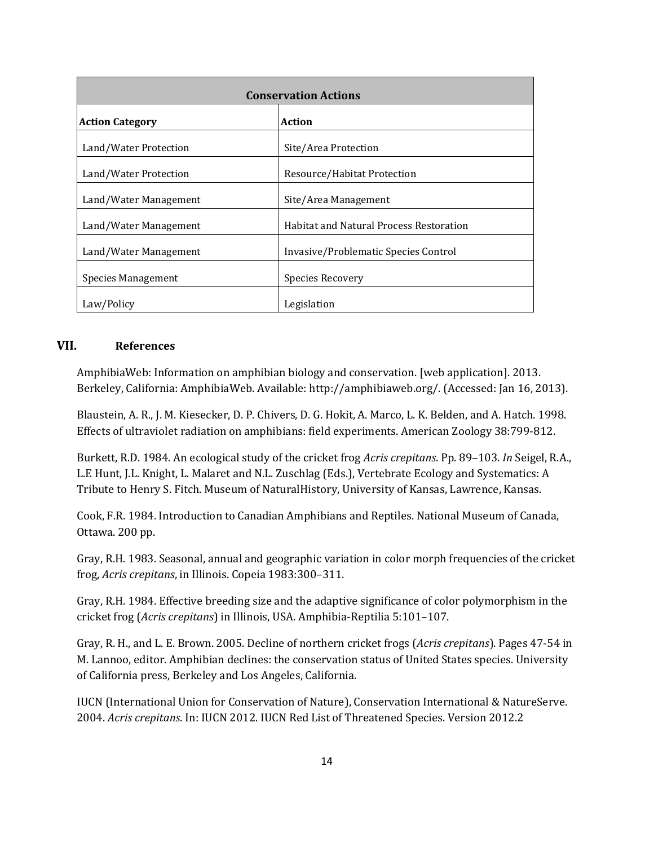| <b>Conservation Actions</b> |                                                |  |
|-----------------------------|------------------------------------------------|--|
| <b>Action Category</b>      | Action                                         |  |
| Land/Water Protection       | Site/Area Protection                           |  |
| Land/Water Protection       | Resource/Habitat Protection                    |  |
| Land/Water Management       | Site/Area Management                           |  |
| Land/Water Management       | <b>Habitat and Natural Process Restoration</b> |  |
| Land/Water Management       | Invasive/Problematic Species Control           |  |
| Species Management          | Species Recovery                               |  |
| Law/Policy                  | Legislation                                    |  |

# **VII. References**

AmphibiaWeb: Information on amphibian biology and conservation. [web application]. 2013. Berkeley, California: AmphibiaWeb. Available: http://amphibiaweb.org/. (Accessed: Jan 16, 2013).

Blaustein, A. R., J. M. Kiesecker, D. P. Chivers, D. G. Hokit, A. Marco, L. K. Belden, and A. Hatch. 1998. Effects of ultraviolet radiation on amphibians: field experiments. American Zoology 38:799-812.

Burkett, R.D. 1984. An ecological study of the cricket frog *Acris crepitans*. Pp. 89–103. *In* Seigel, R.A., L.E Hunt, J.L. Knight, L. Malaret and N.L. Zuschlag (Eds.), Vertebrate Ecology and Systematics: A Tribute to Henry S. Fitch. Museum of NaturalHistory, University of Kansas, Lawrence, Kansas.

Cook, F.R. 1984. Introduction to Canadian Amphibians and Reptiles. National Museum of Canada, Ottawa. 200 pp.

Gray, R.H. 1983. Seasonal, annual and geographic variation in color morph frequencies of the cricket frog, *Acris crepitans*, in Illinois. Copeia 1983:300–311.

Gray, R.H. 1984. Effective breeding size and the adaptive significance of color polymorphism in the cricket frog (*Acris crepitans*) in Illinois, USA. Amphibia-Reptilia 5:101–107.

Gray, R. H., and L. E. Brown. 2005. Decline of northern cricket frogs (*Acris crepitans*). Pages 47-54 in M. Lannoo, editor. Amphibian declines: the conservation status of United States species. University of California press, Berkeley and Los Angeles, California.

IUCN (International Union for Conservation of Nature), Conservation International & NatureServe. 2004. *Acris crepitans*. In: IUCN 2012. IUCN Red List of Threatened Species. Version 2012.2